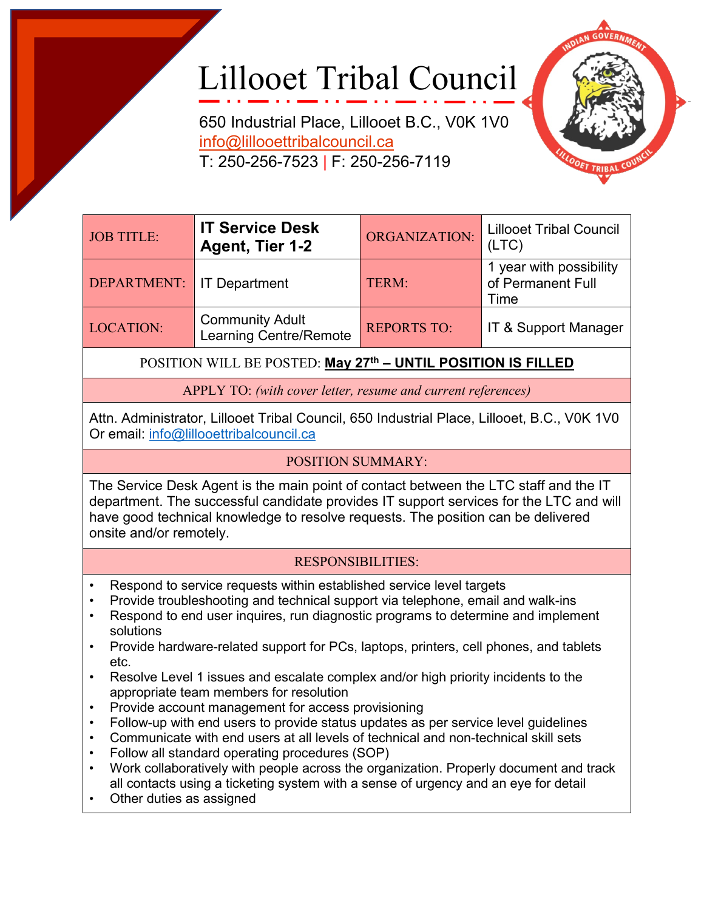## Lillooet Tribal Council

650 Industrial Place, Lillooet B.C., V0K 1V0 [info@lillooettribalcouncil.ca](mailto:info@lillooettribalcouncil.ca) T: 250-256-7523 | F: 250-256-7119



| <b>JOB TITLE:</b>                | <b>IT Service Desk</b><br>Agent, Tier 1-2               | ORGANIZATION:      | <b>Lillooet Tribal Council</b><br>(LTC)              |
|----------------------------------|---------------------------------------------------------|--------------------|------------------------------------------------------|
| <b>DEPARTMENT:</b> IT Department |                                                         | TERM:              | 1 year with possibility<br>of Permanent Full<br>Time |
| <b>LOCATION:</b>                 | <b>Community Adult</b><br><b>Learning Centre/Remote</b> | <b>REPORTS TO:</b> | IT & Support Manager                                 |

POSITION WILL BE POSTED: **May 27th – UNTIL POSITION IS FILLED**

APPLY TO: *(with cover letter, resume and current references)*

Attn. Administrator, Lillooet Tribal Council, 650 Industrial Place, Lillooet, B.C., V0K 1V0 Or email: [info@lillooettribalcouncil.ca](mailto:info@lillooettribalcouncil.ca)

## POSITION SUMMARY:

The Service Desk Agent is the main point of contact between the LTC staff and the IT department. The successful candidate provides IT support services for the LTC and will have good technical knowledge to resolve requests. The position can be delivered onsite and/or remotely.

## RESPONSIBILITIES:

- Respond to service requests within established service level targets
- Provide troubleshooting and technical support via telephone, email and walk-ins
- Respond to end user inquires, run diagnostic programs to determine and implement solutions
- Provide hardware-related support for PCs, laptops, printers, cell phones, and tablets etc.
- Resolve Level 1 issues and escalate complex and/or high priority incidents to the appropriate team members for resolution
- Provide account management for access provisioning
- Follow-up with end users to provide status updates as per service level guidelines
- Communicate with end users at all levels of technical and non-technical skill sets
- Follow all standard operating procedures (SOP)
- Work collaboratively with people across the organization. Properly document and track all contacts using a ticketing system with a sense of urgency and an eye for detail
- Other duties as assigned